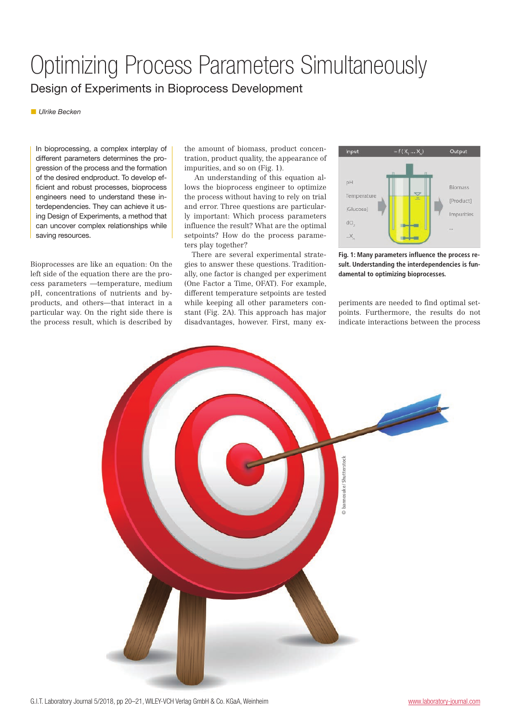## Optimizing Process Parameters Simultaneously Design of Experiments in Bioprocess Development

▪ *Ulrike Becken* 

In bioprocessing, a complex interplay of different parameters determines the progression of the process and the formation of the desired endproduct. To develop efficient and robust processes, bioprocess engineers need to understand these interdependencies. They can achieve it using Design of Experiments, a method that can uncover complex relationships while saving resources.

Bioprocesses are like an equation: On the left side of the equation there are the process parameters —temperature, medium pH, concentrations of nutrients and byproducts, and others—that interact in a particular way. On the right side there is the process result, which is described by the amount of biomass, product concentration, product quality, the appearance of impurities, and so on (Fig. 1).

 An understanding of this equation allows the bioprocess engineer to optimize the process without having to rely on trial and error. Three questions are particularly important: Which process parameters influence the result? What are the optimal setpoints? How do the process parameters play together?

There are several experimental strategies to answer these questions. Traditionally, one factor is changed per experiment (One Factor a Time, OFAT). For example, different temperature setpoints are tested while keeping all other parameters constant (Fig. 2A). This approach has major disadvantages, however. First, many ex-



**Fig. 1: Many parameters influence the process result. Understanding the interdependencies is fundamental to optimizing bioprocesses.**

periments are needed to find optimal setpoints. Furthermore, the results do not indicate interactions between the process